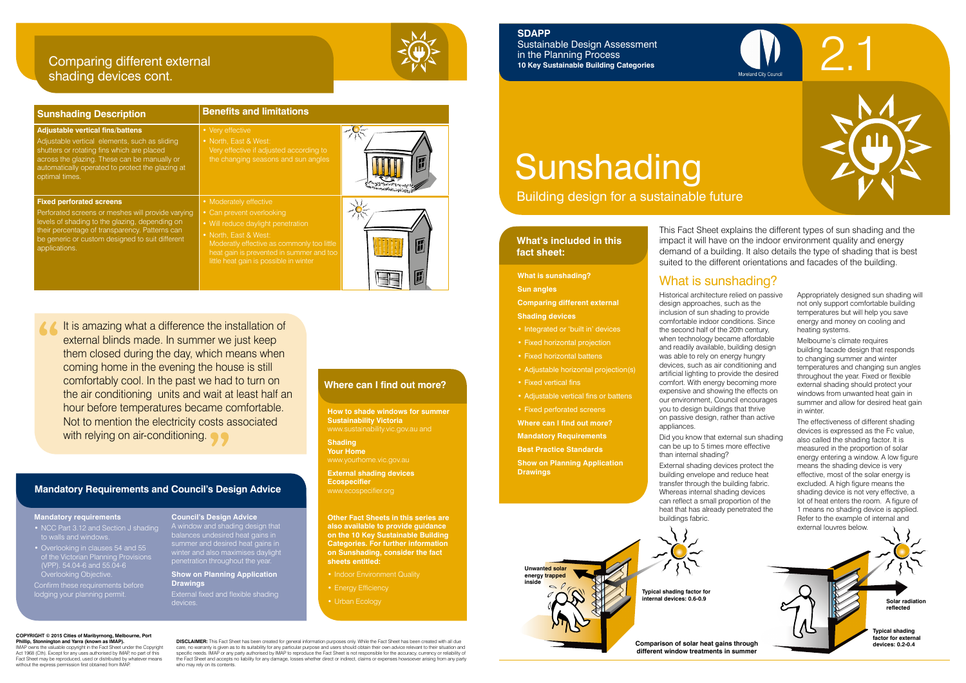### **What's included in this fact sheet:**

Historical architecture relied on passive design approaches, such as the inclusion of sun shading to provide comfortable indoor conditions. Since the second half of the 20th century, when technology became affordable and readily available, building design was able to rely on energy hungry devices, such as air conditioning and artificial lighting to provide the desired comfort. With energy becoming more expensive and showing the effects on our environment, Council encourages you to design buildings that thrive on passive design, rather than active appliances.

Did you know that external sun shading can be up to 5 times more effective than internal shading?

External shading devices protect the building envelope and reduce heat transfer through the building fabric. Whereas internal shading devices can reflect a small proportion of the heat that has already penetrated the buildings fabric.



Appropriately designed sun shading will not only support comfortable building temperatures but will help you save energy and money on cooling and heating systems.

- Integrated or 'built in' devices
- Fixed horizontal projection
- Fixed horizontal battens
- Adjustable horizontal projection(s)
- Fixed vertical fins
- Adjustable vertical fins or battens
- Fixed perforated screens

Melbourne's climate requires building facade design that responds to changing summer and winter temperatures and changing sun angles throughout the year. Fixed or flexible external shading should protect your windows from unwanted heat gain in summer and allow for desired heat gain in winter.

The effectiveness of different shading devices is expressed as the Fc value, also called the shading factor. It is measured in the proportion of solar energy entering a window. A low figure means the shading device is very effective, most of the solar energy is excluded. A high figure means the shading device is not very effective, a lot of heat enters the room. A figure of 1 means no shading device is applied. Refer to the example of internal and external louvres below.

# What is sunshading? **What is sunshading?**

**Sun angles**

**Comparing different external Shading devices**

- Indoor Environment Quality
- 
- Urban Ecology

**Where can I find out more?**

**Mandatory Requirements**

**Best Practice Standards Show on Planning Application** 

**Drawings**

- NCC Part 3.12 and Section J shading
- Overlooking in clauses 54 and 55 of the Victorian Planning Provisions Overlooking Objective.
- Confirm these requirements before lodging your planning permit.

This Fact Sheet explains the different types of sun shading and the impact it will have on the indoor environment quality and energy demand of a building. It also details the type of shading that is best suited to the different orientations and facades of the building.

# Sunshading

Building design for a sustainable future



**Solar radiation reflected**

**Typical shading factor for external devices: 0.2-0.4**

**Phillip, Stonnington and Yarra (known as IMAP).** IMAP owns the valuable copyright in the Fact Sheet under the Copyright Act 1968 (Cth). Except for any uses authorised by IMAP, no part of this Fact Sheet may be reproduced, used or distributed by whatever means without the express permission first obtained from IMAF

**Unwanted solar energy trapped inside Typical shading factor for** 

**internal devices: 0.6-0.9**

**Comparison of solar heat gains through different window treatments in summer**

**DISCLAIMER:** This Fact Sheet has been created for general information purposes only. While the Fact Sheet has been created with all due care, no warranty is given as to its suitability for any particular purpose and users should obtain their own advice relevant to their situation and<br>specific needs. IMAP or any party authorised by IMAP to reproduce the Fac the Fact Sheet and accepts no liability for any damage, losses whether direct or indirect, claims or expenses howsoever arising from any party who may rely on its contents.



**SDAPP** 

Sustainable Design Assessment

in the Planning Process

**10 Key Sustainable Building Categories**

| <b>Sunshading Description</b>                                                                                                                                                                                                                                | <b>Benefits and limitations</b>                                                                                                                                                                                                                        |  |
|--------------------------------------------------------------------------------------------------------------------------------------------------------------------------------------------------------------------------------------------------------------|--------------------------------------------------------------------------------------------------------------------------------------------------------------------------------------------------------------------------------------------------------|--|
| <b>Adjustable vertical fins/battens</b><br>Adjustable vertical elements, such as sliding<br>shutters or rotating fins which are placed<br>across the glazing. These can be manually or<br>automatically operated to protect the glazing at<br>optimal times. | • Very effective<br>• North, East & West:<br>Very effective if adjusted according to<br>the changing seasons and sun angles                                                                                                                            |  |
| <b>Fixed perforated screens</b><br>Perforated screens or meshes will provide varying<br>levels of shading to the glazing, depending on<br>their percentage of transparency. Patterns can<br>be generic or custom designed to suit different<br>applications. | • Moderately effective<br>• Can prevent overlooking<br>• Will reduce daylight penetration<br>• North, East & West:<br>Moderatly effective as commonly too little<br>heat gain is prevented in summer and too<br>little heat gain is possible in winter |  |

It is amazing what a difference the installation of external blinds made. In summer we just keep them closed during the day, which means when coming home in the evening the house is still comfortably cool. In the past we had to turn on the air conditioning units and wait at least half an hour before temperatures became comfortable. Not to mention the electricity costs associated with relying on air-conditioning.

**How to shade windows for summer Sustainability Victoria**

**Shading Your Home** www.yourhome.vic.gov.au

**External shading devices Ecospecifier** www.ecospecifier.org

**Other Fact Sheets in this series are also available to provide guidance on the 10 Key Sustainable Building Categories. For further information on Sunshading, consider the fact sheets entitled:**

### **Where can I find out more?**

### **Mandatory Requirements and Council's Design Advice**

### **Mandatory requirements**

### **Council's Design Advice**

A window and shading design that balances undesired heat gains in summer and desired heat gains in winter and also maximises daylight penetration throughout the year.

### **Show on Planning Application Drawings**

External fixed and flexible shading devices.

# Comparing different external shading devices cont.



**COPYRIGHT © 2015 Cities of Maribyrnong, Melbourne, Port**